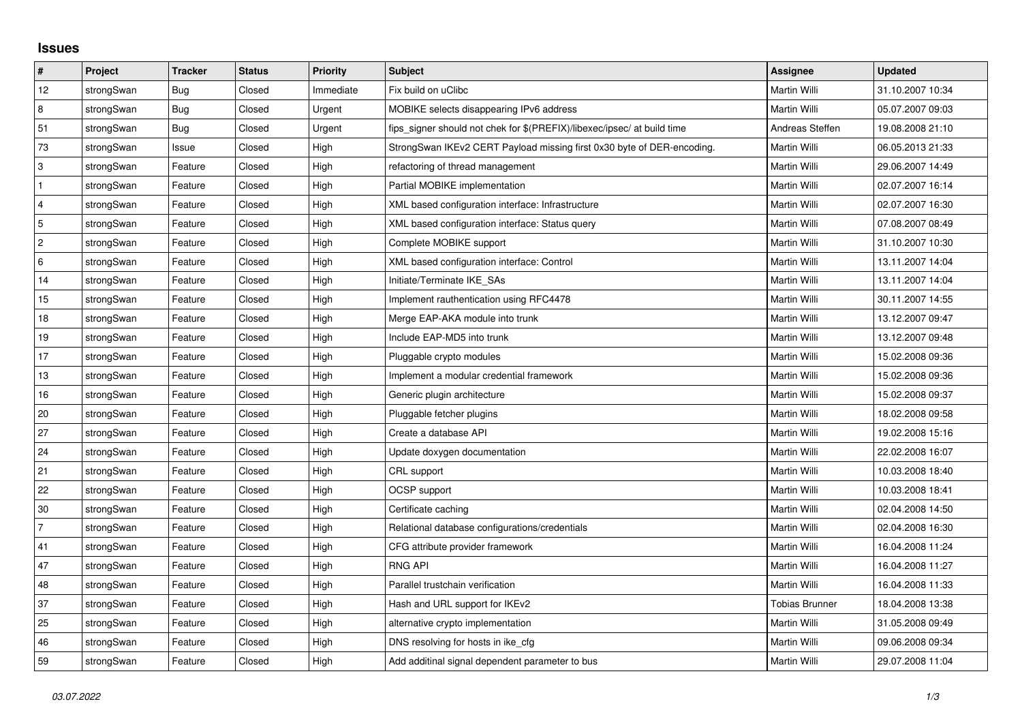## **Issues**

| #              | Project    | <b>Tracker</b> | <b>Status</b> | Priority  | Subject                                                                 | <b>Assignee</b>       | <b>Updated</b>   |
|----------------|------------|----------------|---------------|-----------|-------------------------------------------------------------------------|-----------------------|------------------|
| 12             | strongSwan | Bug            | Closed        | Immediate | Fix build on uClibc                                                     | Martin Willi          | 31.10.2007 10:34 |
| 8              | strongSwan | Bug            | Closed        | Urgent    | MOBIKE selects disappearing IPv6 address                                | Martin Willi          | 05.07.2007 09:03 |
| 51             | strongSwan | Bug            | Closed        | Urgent    | fips_signer should not chek for \$(PREFIX)/libexec/ipsec/ at build time | Andreas Steffen       | 19.08.2008 21:10 |
| 73             | strongSwan | Issue          | Closed        | High      | StrongSwan IKEv2 CERT Payload missing first 0x30 byte of DER-encoding.  | Martin Willi          | 06.05.2013 21:33 |
| $\sqrt{3}$     | strongSwan | Feature        | Closed        | High      | refactoring of thread management                                        | Martin Willi          | 29.06.2007 14:49 |
| $\overline{1}$ | strongSwan | Feature        | Closed        | High      | Partial MOBIKE implementation                                           | Martin Willi          | 02.07.2007 16:14 |
| $\overline{4}$ | strongSwan | Feature        | Closed        | High      | XML based configuration interface: Infrastructure                       | Martin Willi          | 02.07.2007 16:30 |
| 5              | strongSwan | Feature        | Closed        | High      | XML based configuration interface: Status query                         | Martin Willi          | 07.08.2007 08:49 |
| $\overline{c}$ | strongSwan | Feature        | Closed        | High      | Complete MOBIKE support                                                 | Martin Willi          | 31.10.2007 10:30 |
| 6              | strongSwan | Feature        | Closed        | High      | XML based configuration interface: Control                              | Martin Willi          | 13.11.2007 14:04 |
| 14             | strongSwan | Feature        | Closed        | High      | Initiate/Terminate IKE_SAs                                              | Martin Willi          | 13.11.2007 14:04 |
| 15             | strongSwan | Feature        | Closed        | High      | Implement rauthentication using RFC4478                                 | Martin Willi          | 30.11.2007 14:55 |
| 18             | strongSwan | Feature        | Closed        | High      | Merge EAP-AKA module into trunk                                         | Martin Willi          | 13.12.2007 09:47 |
| 19             | strongSwan | Feature        | Closed        | High      | Include EAP-MD5 into trunk                                              | Martin Willi          | 13.12.2007 09:48 |
| 17             | strongSwan | Feature        | Closed        | High      | Pluggable crypto modules                                                | Martin Willi          | 15.02.2008 09:36 |
| 13             | strongSwan | Feature        | Closed        | High      | Implement a modular credential framework                                | Martin Willi          | 15.02.2008 09:36 |
| 16             | strongSwan | Feature        | Closed        | High      | Generic plugin architecture                                             | Martin Willi          | 15.02.2008 09:37 |
| 20             | strongSwan | Feature        | Closed        | High      | Pluggable fetcher plugins                                               | Martin Willi          | 18.02.2008 09:58 |
| 27             | strongSwan | Feature        | Closed        | High      | Create a database API                                                   | Martin Willi          | 19.02.2008 15:16 |
| 24             | strongSwan | Feature        | Closed        | High      | Update doxygen documentation                                            | Martin Willi          | 22.02.2008 16:07 |
| 21             | strongSwan | Feature        | Closed        | High      | CRL support                                                             | Martin Willi          | 10.03.2008 18:40 |
| 22             | strongSwan | Feature        | Closed        | High      | OCSP support                                                            | Martin Willi          | 10.03.2008 18:41 |
| 30             | strongSwan | Feature        | Closed        | High      | Certificate caching                                                     | Martin Willi          | 02.04.2008 14:50 |
| $\overline{7}$ | strongSwan | Feature        | Closed        | High      | Relational database configurations/credentials                          | Martin Willi          | 02.04.2008 16:30 |
| 41             | strongSwan | Feature        | Closed        | High      | CFG attribute provider framework                                        | Martin Willi          | 16.04.2008 11:24 |
| 47             | strongSwan | Feature        | Closed        | High      | <b>RNG API</b>                                                          | Martin Willi          | 16.04.2008 11:27 |
| 48             | strongSwan | Feature        | Closed        | High      | Parallel trustchain verification                                        | Martin Willi          | 16.04.2008 11:33 |
| 37             | strongSwan | Feature        | Closed        | High      | Hash and URL support for IKEv2                                          | <b>Tobias Brunner</b> | 18.04.2008 13:38 |
| 25             | strongSwan | Feature        | Closed        | High      | alternative crypto implementation                                       | Martin Willi          | 31.05.2008 09:49 |
| 46             | strongSwan | Feature        | Closed        | High      | DNS resolving for hosts in ike cfg                                      | Martin Willi          | 09.06.2008 09:34 |
| 59             | strongSwan | Feature        | Closed        | High      | Add additinal signal dependent parameter to bus                         | Martin Willi          | 29.07.2008 11:04 |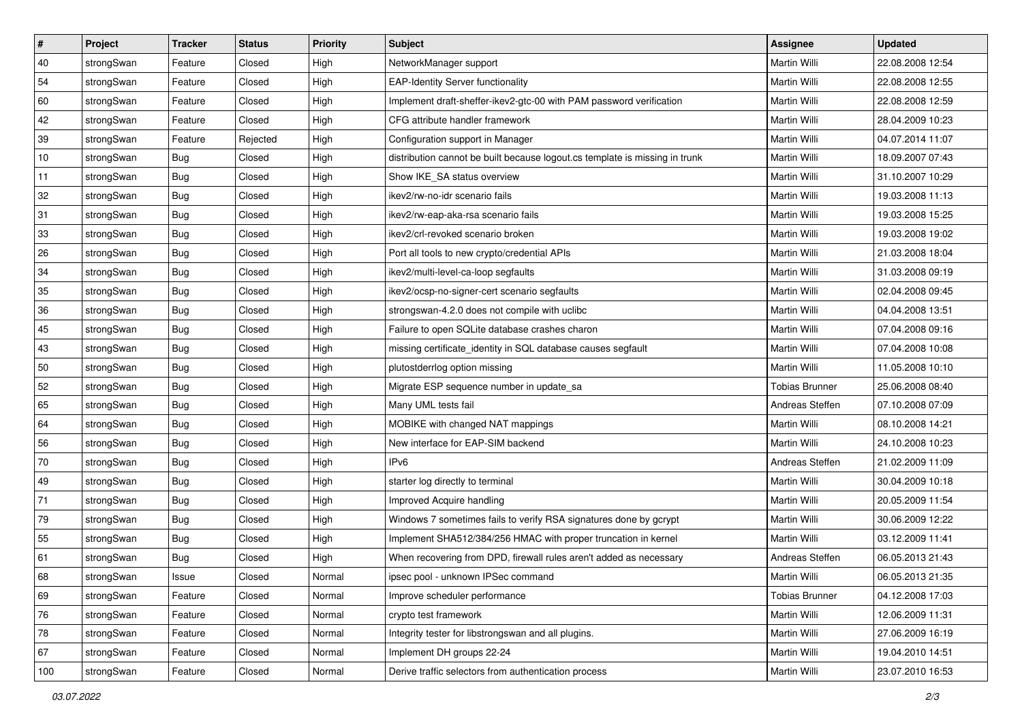| $\vert$ # | Project    | <b>Tracker</b> | <b>Status</b> | <b>Priority</b> | <b>Subject</b>                                                              | Assignee              | <b>Updated</b>   |
|-----------|------------|----------------|---------------|-----------------|-----------------------------------------------------------------------------|-----------------------|------------------|
| 40        | strongSwan | Feature        | Closed        | High            | NetworkManager support                                                      | Martin Willi          | 22.08.2008 12:54 |
| 54        | strongSwan | Feature        | Closed        | High            | <b>EAP-Identity Server functionality</b>                                    | <b>Martin Willi</b>   | 22.08.2008 12:55 |
| 60        | strongSwan | Feature        | Closed        | High            | Implement draft-sheffer-ikev2-gtc-00 with PAM password verification         | Martin Willi          | 22.08.2008 12:59 |
| 42        | strongSwan | Feature        | Closed        | High            | CFG attribute handler framework                                             | Martin Willi          | 28.04.2009 10:23 |
| 39        | strongSwan | Feature        | Rejected      | High            | Configuration support in Manager                                            | Martin Willi          | 04.07.2014 11:07 |
| 10        | strongSwan | <b>Bug</b>     | Closed        | High            | distribution cannot be built because logout.cs template is missing in trunk | Martin Willi          | 18.09.2007 07:43 |
| 11        | strongSwan | Bug            | Closed        | High            | Show IKE_SA status overview                                                 | Martin Willi          | 31.10.2007 10:29 |
| 32        | strongSwan | Bug            | Closed        | High            | ikev2/rw-no-idr scenario fails                                              | Martin Willi          | 19.03.2008 11:13 |
| 31        | strongSwan | <b>Bug</b>     | Closed        | High            | ikev2/rw-eap-aka-rsa scenario fails                                         | Martin Willi          | 19.03.2008 15:25 |
| 33        | strongSwan | Bug            | Closed        | High            | ikev2/crl-revoked scenario broken                                           | Martin Willi          | 19.03.2008 19:02 |
| 26        | strongSwan | Bug            | Closed        | High            | Port all tools to new crypto/credential APIs                                | Martin Willi          | 21.03.2008 18:04 |
| 34        | strongSwan | <b>Bug</b>     | Closed        | High            | ikev2/multi-level-ca-loop segfaults                                         | Martin Willi          | 31.03.2008 09:19 |
| 35        | strongSwan | Bug            | Closed        | High            | ikev2/ocsp-no-signer-cert scenario segfaults                                | <b>Martin Willi</b>   | 02.04.2008 09:45 |
| 36        | strongSwan | <b>Bug</b>     | Closed        | High            | strongswan-4.2.0 does not compile with uclibc                               | Martin Willi          | 04.04.2008 13:51 |
| 45        | strongSwan | Bug            | Closed        | High            | Failure to open SQLite database crashes charon                              | <b>Martin Willi</b>   | 07.04.2008 09:16 |
| 43        | strongSwan | <b>Bug</b>     | Closed        | High            | missing certificate_identity in SQL database causes segfault                | Martin Willi          | 07.04.2008 10:08 |
| 50        | strongSwan | <b>Bug</b>     | Closed        | High            | plutostderrlog option missing                                               | <b>Martin Willi</b>   | 11.05.2008 10:10 |
| 52        | strongSwan | Bug            | Closed        | High            | Migrate ESP sequence number in update_sa                                    | <b>Tobias Brunner</b> | 25.06.2008 08:40 |
| 65        | strongSwan | <b>Bug</b>     | Closed        | High            | Many UML tests fail                                                         | Andreas Steffen       | 07.10.2008 07:09 |
| 64        | strongSwan | Bug            | Closed        | High            | MOBIKE with changed NAT mappings                                            | <b>Martin Willi</b>   | 08.10.2008 14:21 |
| 56        | strongSwan | <b>Bug</b>     | Closed        | High            | New interface for EAP-SIM backend                                           | Martin Willi          | 24.10.2008 10:23 |
| 70        | strongSwan | <b>Bug</b>     | Closed        | High            | IP <sub>v6</sub>                                                            | Andreas Steffen       | 21.02.2009 11:09 |
| 49        | strongSwan | Bug            | Closed        | High            | starter log directly to terminal                                            | Martin Willi          | 30.04.2009 10:18 |
| 71        | strongSwan | <b>Bug</b>     | Closed        | High            | Improved Acquire handling                                                   | Martin Willi          | 20.05.2009 11:54 |
| 79        | strongSwan | <b>Bug</b>     | Closed        | High            | Windows 7 sometimes fails to verify RSA signatures done by gcrypt           | Martin Willi          | 30.06.2009 12:22 |
| 55        | strongSwan | <b>Bug</b>     | Closed        | High            | Implement SHA512/384/256 HMAC with proper truncation in kernel              | Martin Willi          | 03.12.2009 11:41 |
| 61        | strongSwan | Bug            | Closed        | High            | When recovering from DPD, firewall rules aren't added as necessary          | Andreas Steffen       | 06.05.2013 21:43 |
| 68        | strongSwan | Issue          | Closed        | Normal          | ipsec pool - unknown IPSec command                                          | Martin Willi          | 06.05.2013 21:35 |
| 69        | strongSwan | Feature        | Closed        | Normal          | Improve scheduler performance                                               | <b>Tobias Brunner</b> | 04.12.2008 17:03 |
| 76        | strongSwan | Feature        | Closed        | Normal          | crypto test framework                                                       | Martin Willi          | 12.06.2009 11:31 |
| 78        | strongSwan | Feature        | Closed        | Normal          | Integrity tester for libstrongswan and all plugins.                         | Martin Willi          | 27.06.2009 16:19 |
| 67        | strongSwan | Feature        | Closed        | Normal          | Implement DH groups 22-24                                                   | Martin Willi          | 19.04.2010 14:51 |
| 100       | strongSwan | Feature        | Closed        | Normal          | Derive traffic selectors from authentication process                        | Martin Willi          | 23.07.2010 16:53 |